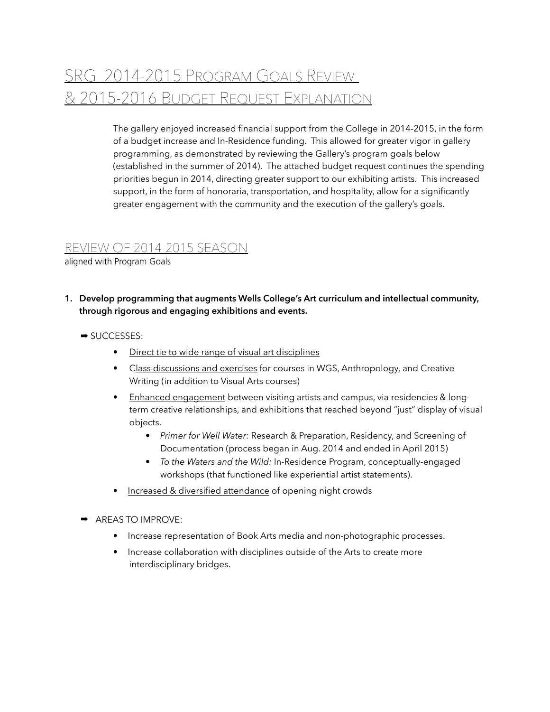## SRG 2014-2015 PROGRAM GOALS REVIEW & 2015-2016 BUDGET REQUEST EXPLANATION

The gallery enjoyed increased financial support from the College in 2014-2015, in the form of a budget increase and In-Residence funding. This allowed for greater vigor in gallery programming, as demonstrated by reviewing the Gallery's program goals below (established in the summer of 2014). The attached budget request continues the spending priorities begun in 2014, directing greater support to our exhibiting artists. This increased support, in the form of honoraria, transportation, and hospitality, allow for a significantly greater engagement with the community and the execution of the gallery's goals.

## REVIEW OF 2014-2015 SEASON

aligned with Program Goals

- **1. Develop programming that augments Wells College's Art curriculum and intellectual community, through rigorous and engaging exhibitions and events.**
	- ➡ SUCCESSES:
		- Direct tie to wide range of visual art disciplines
		- Class discussions and exercises for courses in WGS, Anthropology, and Creative Writing (in addition to Visual Arts courses)
		- Enhanced engagement between visiting artists and campus, via residencies & longterm creative relationships, and exhibitions that reached beyond "just" display of visual objects.
			- *Primer for Well Water:* Research & Preparation, Residency, and Screening of Documentation (process began in Aug. 2014 and ended in April 2015)
			- *• To the Waters and the Wild:* In-Residence Program, conceptually-engaged workshops (that functioned like experiential artist statements).
		- *•* Increased & diversified attendance of opening night crowds
	- ➡ AREAS TO IMPROVE:
		- *•* Increase representation of Book Arts media and non-photographic processes.
		- *•* Increase collaboration with disciplines outside of the Arts to create more interdisciplinary bridges.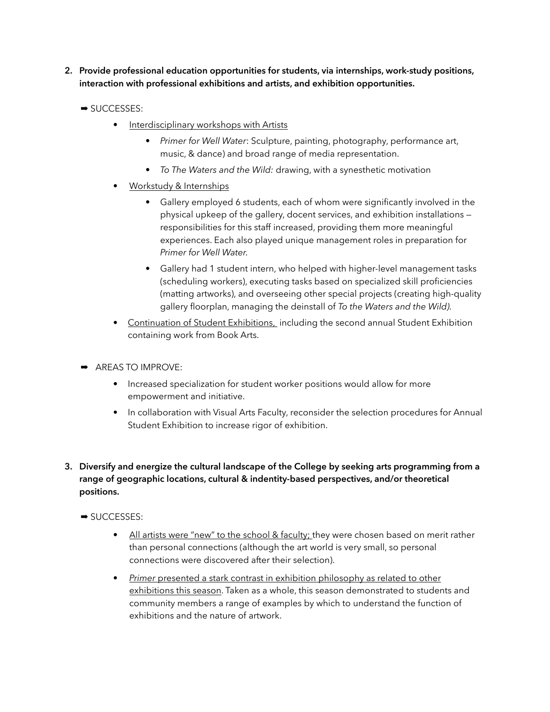- **2. Provide professional education opportunities for students, via internships, work-study positions, interaction with professional exhibitions and artists, and exhibition opportunities.**
	- ➡ SUCCESSES:
		- Interdisciplinary workshops with Artists
			- *Primer for Well Water*: Sculpture, painting, photography, performance art, music, & dance) and broad range of media representation.
			- *• To The Waters and the Wild:* drawing, with a synesthetic motivation
		- Workstudy & Internships
			- Gallery employed 6 students, each of whom were significantly involved in the physical upkeep of the gallery, docent services, and exhibition installations responsibilities for this staff increased, providing them more meaningful experiences. Each also played unique management roles in preparation for *Primer for Well Water.*
			- Gallery had 1 student intern, who helped with higher-level management tasks (scheduling workers), executing tasks based on specialized skill proficiencies (matting artworks), and overseeing other special projects (creating high-quality gallery floorplan, managing the deinstall of *To the Waters and the Wild).*
		- Continuation of Student Exhibitions, including the second annual Student Exhibition containing work from Book Arts.
	- ➡ AREAS TO IMPROVE:
		- *•* Increased specialization for student worker positions would allow for more empowerment and initiative.
		- In collaboration with Visual Arts Faculty, reconsider the selection procedures for Annual Student Exhibition to increase rigor of exhibition.
- **3. Diversify and energize the cultural landscape of the College by seeking arts programming from a range of geographic locations, cultural & indentity-based perspectives, and/or theoretical positions.**
	- ➡ SUCCESSES:
		- All artists were "new" to the school & faculty; they were chosen based on merit rather than personal connections (although the art world is very small, so personal connections were discovered after their selection).
		- *Primer presented a stark contrast in exhibition philosophy as related to other* exhibitions this season. Taken as a whole, this season demonstrated to students and community members a range of examples by which to understand the function of exhibitions and the nature of artwork.